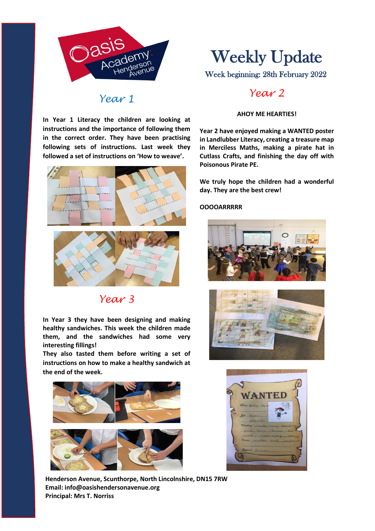

### *Year 1*

**In Year 1 Literacy the children are looking at instructions and the importance of following them in the correct order. They have been practising following sets of instructions. Last week they followed a set of instructions on 'How to weave'.**



## *Year 3*

**In Year 3 they have been designing and making healthy sandwiches. This week the children made them, and the sandwiches had some very interesting fillings!** 

**They also tasted them before writing a set of instructions on how to make a healthy sandwich at the end of the week.**



Week beginning: 28th February 2022

## *Year 2*

#### **AHOY ME HEARTIES!**

**Year 2 have enjoyed making a WANTED poster in Landlubber Literacy, creating a treasure map in Merciless Maths, making a pirate hat in Cutlass Crafts, and finishing the day off with Poisonous Pirate PE.**

**We truly hope the children had a wonderful day. They are the best crew!**

#### **OOOOARRRRR**







**Henderson Avenue, Scunthorpe, North Lincolnshire, DN15 7RW Email: info@oasishendersonavenue.org Principal: Mrs T. Norriss**